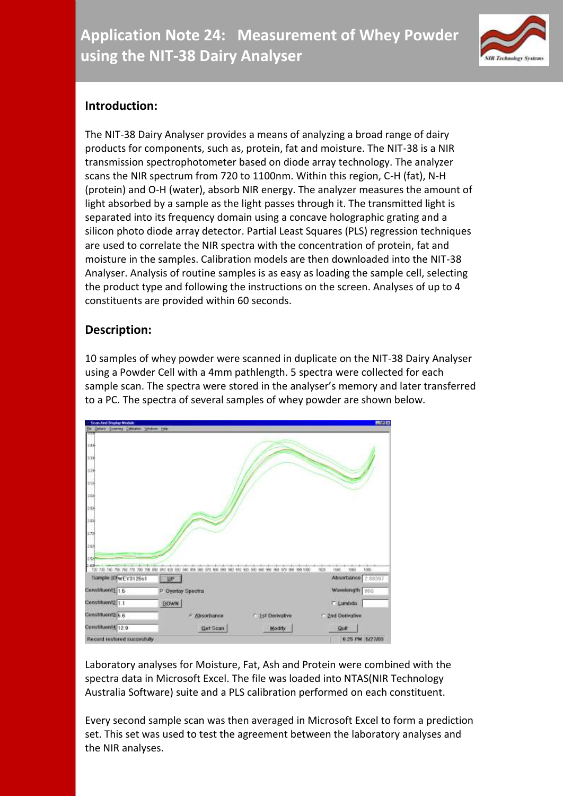

# **Introduction:**

The NIT-38 Dairy Analyser provides a means of analyzing a broad range of dairy products for components, such as, protein, fat and moisture. The NIT-38 is a NIR transmission spectrophotometer based on diode array technology. The analyzer scans the NIR spectrum from 720 to 1100nm. Within this region, C-H (fat), N-H (protein) and O-H (water), absorb NIR energy. The analyzer measures the amount of light absorbed by a sample as the light passes through it. The transmitted light is separated into its frequency domain using a concave holographic grating and a silicon photo diode array detector. Partial Least Squares (PLS) regression techniques are used to correlate the NIR spectra with the concentration of protein, fat and moisture in the samples. Calibration models are then downloaded into the NIT-38 Analyser. Analysis of routine samples is as easy as loading the sample cell, selecting the product type and following the instructions on the screen. Analyses of up to 4 constituents are provided within 60 seconds.

## **Description:**

10 samples of whey powder were scanned in duplicate on the NIT-38 Dairy Analyser using a Powder Cell with a 4mm pathlength. 5 spectra were collected for each sample scan. The spectra were stored in the analyser's memory and later transferred to a PC. The spectra of several samples of whey powder are shown below.



Laboratory analyses for Moisture, Fat, Ash and Protein were combined with the spectra data in Microsoft Excel. The file was loaded into NTAS(NIR Technology Australia Software) suite and a PLS calibration performed on each constituent.

Every second sample scan was then averaged in Microsoft Excel to form a prediction set. This set was used to test the agreement between the laboratory analyses and the NIR analyses.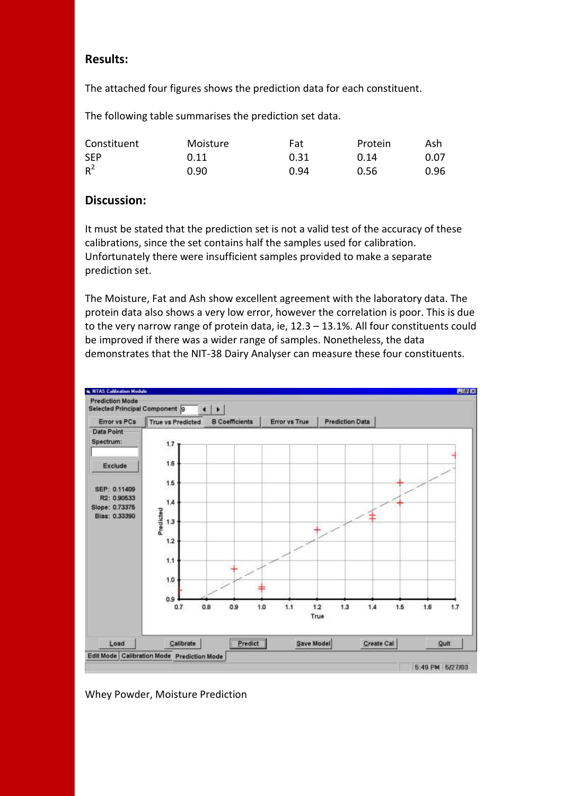### **Results:**

The attached four figures shows the prediction data for each constituent.

The following table summarises the prediction set data.

| Constituent | Moisture | Fat  | Protein | Ash  |
|-------------|----------|------|---------|------|
| <b>SEP</b>  | 0.11     | 0.31 | 0.14    | 0.07 |
| $R^2$       | 0.90     | 0.94 | 0.56    | 0.96 |

## **Discussion:**

It must be stated that the prediction set is not a valid test of the accuracy of these calibrations, since the set contains half the samples used for calibration. Unfortunately there were insufficient samples provided to make a separate prediction set.

The Moisture, Fat and Ash show excellent agreement with the laboratory data. The protein data also shows a very low error, however the correlation is poor. This is due to the very narrow range of protein data, ie, 12.3 – 13.1%. All four constituents could be improved if there was a wider range of samples. Nonetheless, the data demonstrates that the NIT-38 Dairy Analyser can measure these four constituents.



#### Whey Powder, Moisture Prediction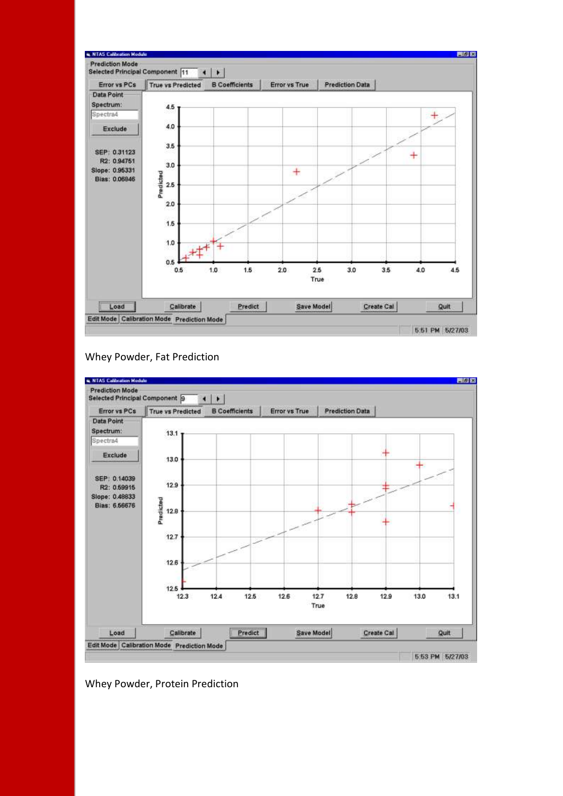

#### Whey Powder, Fat Prediction



#### Whey Powder, Protein Prediction